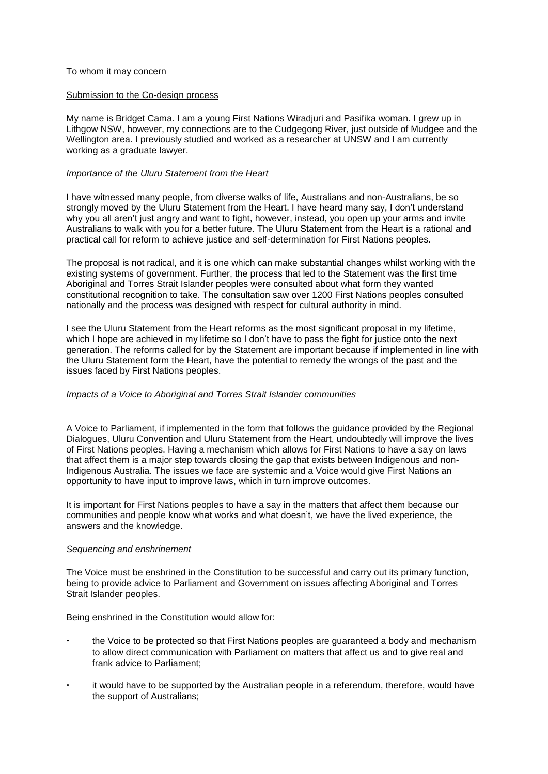#### To whom it may concern

## Submission to the Co-design process

My name is Bridget Cama. I am a young First Nations Wiradjuri and Pasifika woman. I grew up in Lithgow NSW, however, my connections are to the Cudgegong River, just outside of Mudgee and the Wellington area. I previously studied and worked as a researcher at UNSW and I am currently working as a graduate lawyer.

## *Importance of the Uluru Statement from the Heart*

I have witnessed many people, from diverse walks of life, Australians and non-Australians, be so strongly moved by the Uluru Statement from the Heart. I have heard many say, I don't understand why you all aren't just angry and want to fight, however, instead, you open up your arms and invite Australians to walk with you for a better future. The Uluru Statement from the Heart is a rational and practical call for reform to achieve justice and self-determination for First Nations peoples.

The proposal is not radical, and it is one which can make substantial changes whilst working with the existing systems of government. Further, the process that led to the Statement was the first time Aboriginal and Torres Strait Islander peoples were consulted about what form they wanted constitutional recognition to take. The consultation saw over 1200 First Nations peoples consulted nationally and the process was designed with respect for cultural authority in mind.

I see the Uluru Statement from the Heart reforms as the most significant proposal in my lifetime, which I hope are achieved in my lifetime so I don't have to pass the fight for justice onto the next generation. The reforms called for by the Statement are important because if implemented in line with the Uluru Statement form the Heart, have the potential to remedy the wrongs of the past and the issues faced by First Nations peoples.

#### *Impacts of a Voice to Aboriginal and Torres Strait Islander communities*

A Voice to Parliament, if implemented in the form that follows the guidance provided by the Regional Dialogues, Uluru Convention and Uluru Statement from the Heart, undoubtedly will improve the lives of First Nations peoples. Having a mechanism which allows for First Nations to have a say on laws that affect them is a major step towards closing the gap that exists between Indigenous and non-Indigenous Australia. The issues we face are systemic and a Voice would give First Nations an opportunity to have input to improve laws, which in turn improve outcomes.

It is important for First Nations peoples to have a say in the matters that affect them because our communities and people know what works and what doesn't, we have the lived experience, the answers and the knowledge.

#### *Sequencing and enshrinement*

The Voice must be enshrined in the Constitution to be successful and carry out its primary function, being to provide advice to Parliament and Government on issues affecting Aboriginal and Torres Strait Islander peoples.

Being enshrined in the Constitution would allow for:

- the Voice to be protected so that First Nations peoples are guaranteed a body and mechanism to allow direct communication with Parliament on matters that affect us and to give real and frank advice to Parliament;
- it would have to be supported by the Australian people in a referendum, therefore, would have the support of Australians;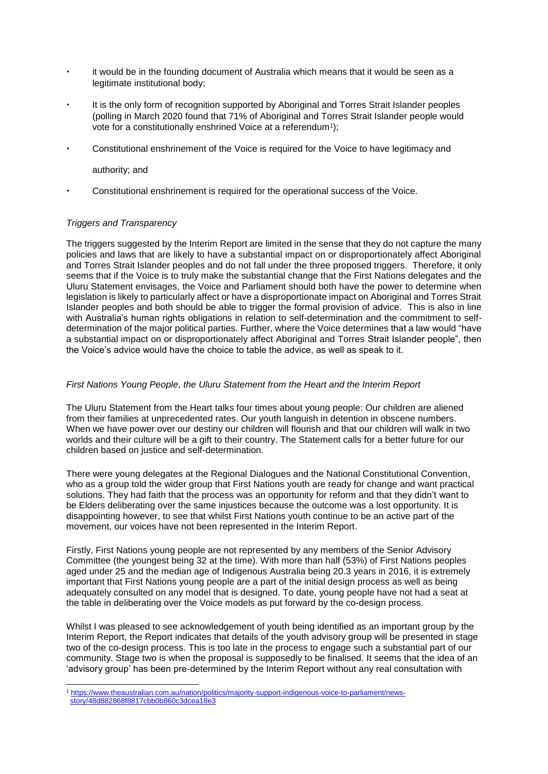- it would be in the founding document of Australia which means that it would be seen as a legitimate institutional body;
- It is the only form of recognition supported by Aboriginal and Torres Strait Islander peoples (polling in March 2020 found that 71% of Aboriginal and Torres Strait Islander people would vote for a constitutionally enshrined Voice at a referendum<sup>1</sup>);
- Constitutional enshrinement of the Voice is required for the Voice to have legitimacy and

authority; and

Constitutional enshrinement is required for the operational success of the Voice.

# *Triggers and Transparency*

1

The triggers suggested by the Interim Report are limited in the sense that they do not capture the many policies and laws that are likely to have a substantial impact on or disproportionately affect Aboriginal and Torres Strait Islander peoples and do not fall under the three proposed triggers. Therefore, it only seems that if the Voice is to truly make the substantial change that the First Nations delegates and the Uluru Statement envisages, the Voice and Parliament should both have the power to determine when legislation is likely to particularly affect or have a disproportionate impact on Aboriginal and Torres Strait Islander peoples and both should be able to trigger the formal provision of advice. This is also in line with Australia's human rights obligations in relation to self-determination and the commitment to selfdetermination of the major political parties. Further, where the Voice determines that a law would "have a substantial impact on or disproportionately affect Aboriginal and Torres Strait Islander people", then the Voice's advice would have the choice to table the advice, as well as speak to it.

## *First Nations Young People, the Uluru Statement from the Heart and the Interim Report*

The Uluru Statement from the Heart talks four times about young people: Our children are aliened from their families at unprecedented rates. Our youth languish in detention in obscene numbers. When we have power over our destiny our children will flourish and that our children will walk in two worlds and their culture will be a gift to their country. The Statement calls for a better future for our children based on justice and self-determination.

There were young delegates at the Regional Dialogues and the National Constitutional Convention, who as a group told the wider group that First Nations youth are ready for change and want practical solutions. They had faith that the process was an opportunity for reform and that they didn't want to be Elders deliberating over the same injustices because the outcome was a lost opportunity. It is disappointing however, to see that whilst First Nations youth continue to be an active part of the movement, our voices have not been represented in the Interim Report.

Firstly, First Nations young people are not represented by any members of the Senior Advisory Committee (the youngest being 32 at the time). With more than half (53%) of First Nations peoples aged under 25 and the median age of Indigenous Australia being 20.3 years in 2016, it is extremely important that First Nations young people are a part of the initial design process as well as being adequately consulted on any model that is designed. To date, young people have not had a seat at the table in deliberating over the Voice models as put forward by the co-design process.

Whilst I was pleased to see acknowledgement of youth being identified as an important group by the Interim Report, the Report indicates that details of the youth advisory group will be presented in stage two of the co-design process. This is too late in the process to engage such a substantial part of our community. Stage two is when the proposal is supposedly to be finalised. It seems that the idea of an 'advisory group' has been pre-determined by the Interim Report without any real consultation with

<sup>1</sup> [https://www.theaustralian.com.au/nation/politics/majority-support-indigenous-voice-to-parliament/news](https://www.theaustralian.com.au/nation/politics/majority-support-indigenous-voice-to-parliament/news-story/48d882868f8817cbb0b860c3dcea18e3)[story/48d882868f8817cbb0b860c3dcea18e3](https://www.theaustralian.com.au/nation/politics/majority-support-indigenous-voice-to-parliament/news-story/48d882868f8817cbb0b860c3dcea18e3)